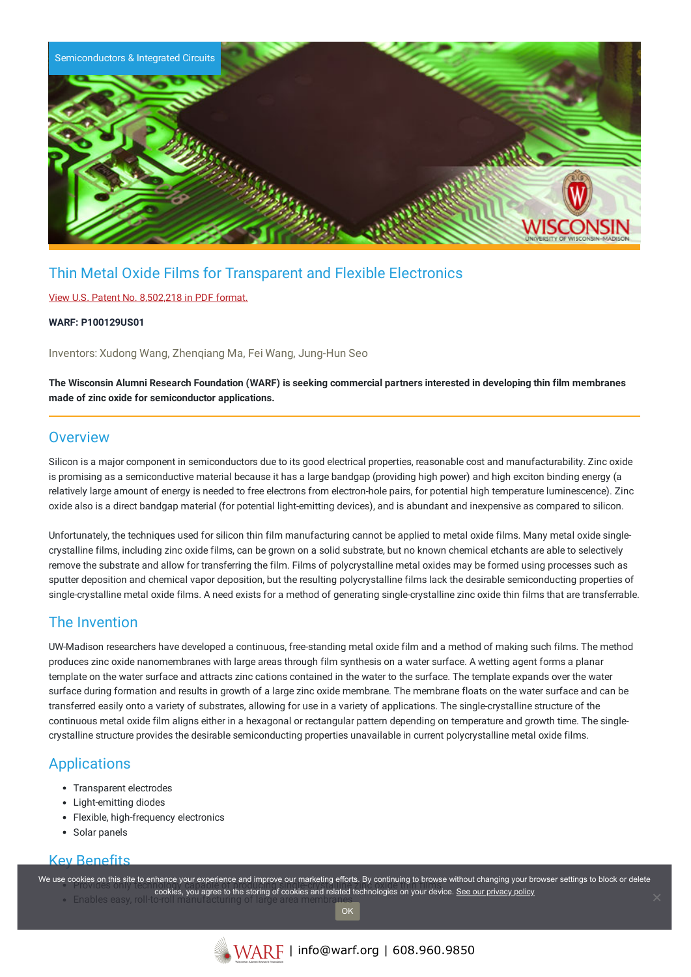

# Thin Metal Oxide Films for Transparent and Flexible Electronics

### View U.S. Patent No. [8,502,218](https://www.warf.org/wp-content/uploads/technologies/ipstatus/P100129US01.PDF) in PDF format.

#### **WARF: P100129US01**

Inventors: Xudong Wang, Zhenqiang Ma, Fei Wang, Jung-Hun Seo

### The Wisconsin Alumni Research Foundation (WARF) is seeking commercial partners interested in developing thin film membranes **made of zinc oxide for semiconductor applications.**

## **Overview**

Silicon is a major component in semiconductors due to its good electrical properties, reasonable cost and manufacturability. Zinc oxide is promising as a semiconductive material because it has a large bandgap (providing high power) and high exciton binding energy (a relatively large amount of energy is needed to free electrons from electron-hole pairs, for potential high temperature luminescence). Zinc oxide also is a direct bandgap material (for potential light-emitting devices), and is abundant and inexpensive as compared to silicon.

Unfortunately, the techniques used for silicon thin film manufacturing cannot be applied to metal oxide films. Many metal oxide singlecrystalline films, including zinc oxide films, can be grown on a solid substrate, but no known chemical etchants are able to selectively remove the substrate and allow for transferring the film. Films of polycrystalline metal oxides may be formed using processes such as sputter deposition and chemical vapor deposition, but the resulting polycrystalline films lack the desirable semiconducting properties of single-crystalline metal oxide films. A need exists for a method of generating single-crystalline zinc oxide thin films that are transferrable.

## The Invention

UW-Madison researchers have developed a continuous, free-standing metal oxide film and a method of making such films. The method produces zinc oxide nanomembranes with large areas through film synthesis on a water surface. A wetting agent forms a planar template on the water surface and attracts zinc cations contained in the water to the surface. The template expands over the water surface during formation and results in growth of a large zinc oxide membrane. The membrane floats on the water surface and can be transferred easily onto a variety of substrates, allowing for use in a variety of applications. The single-crystalline structure of the continuous metal oxide film aligns either in a hexagonal or rectangular pattern depending on temperature and growth time. The singlecrystalline structure provides the desirable semiconducting properties unavailable in current polycrystalline metal oxide films.

# Applications

- Transparent electrodes
- Light-emitting diodes
- Flexible, high-frequency electronics
- Solar panels

### Key Benefits

We use cookies on this site to enhance your experience and improve our marketing efforts. By continuing to browse without changing your browser settings to block or delete cookies, you agree to the storing of cookies and related technologies on your device. [See our privacy policy](https://www.warf.org/privacy-policy/)

 $\cdot$  Fnables easy, roll-to OK